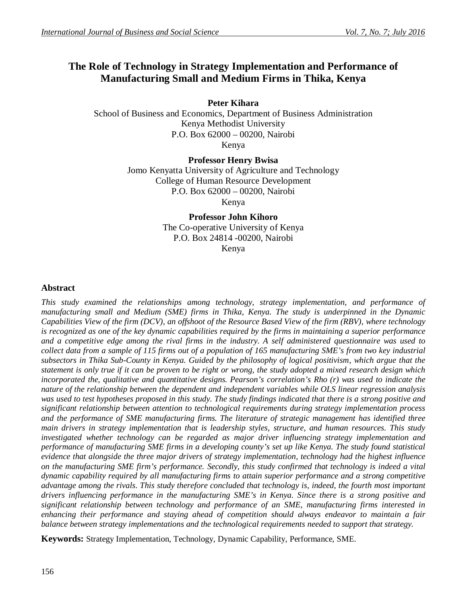# **The Role of Technology in Strategy Implementation and Performance of Manufacturing Small and Medium Firms in Thika, Kenya**

**Peter Kihara**

School of Business and Economics, Department of Business Administration Kenya Methodist University P.O. Box 62000 – 00200, Nairobi Kenya

**Professor Henry Bwisa**

Jomo Kenyatta University of Agriculture and Technology College of Human Resource Development P.O. Box 62000 – 00200, Nairobi Kenya

> **Professor John Kihoro** The Co-operative University of Kenya P.O. Box 24814 -00200, Nairobi Kenya

# **Abstract**

*This study examined the relationships among technology, strategy implementation, and performance of manufacturing small and Medium (SME) firms in Thika, Kenya. The study is underpinned in the Dynamic Capabilities View of the firm (DCV), an offshoot of the Resource Based View of the firm (RBV), where technology is recognized as one of the key dynamic capabilities required by the firms in maintaining a superior performance and a competitive edge among the rival firms in the industry. A self administered questionnaire was used to collect data from a sample of 115 firms out of a population of 165 manufacturing SME's from two key industrial subsectors in Thika Sub-County in Kenya. Guided by the philosophy of logical positivism, which argue that the statement is only true if it can be proven to be right or wrong, the study adopted a mixed research design which incorporated the, qualitative and quantitative designs. Pearson's correlation's Rho (r) was used to indicate the nature of the relationship between the dependent and independent variables while OLS linear regression analysis was used to test hypotheses proposed in this study. The study findings indicated that there is a strong positive and significant relationship between attention to technological requirements during strategy implementation process and the performance of SME manufacturing firms. The literature of strategic management has identified three main drivers in strategy implementation that is leadership styles, structure, and human resources. This study investigated whether technology can be regarded as major driver influencing strategy implementation and performance of manufacturing SME firms in a developing county's set up like Kenya. The study found statistical evidence that alongside the three major drivers of strategy implementation, technology had the highest influence on the manufacturing SME firm's performance. Secondly, this study confirmed that technology is indeed a vital dynamic capability required by all manufacturing firms to attain superior performance and a strong competitive advantage among the rivals. This study therefore concluded that technology is, indeed, the fourth most important drivers influencing performance in the manufacturing SME's in Kenya. Since there is a strong positive and significant relationship between technology and performance of an SME, manufacturing firms interested in enhancing their performance and staying ahead of competition should always endeavor to maintain a fair balance between strategy implementations and the technological requirements needed to support that strategy.*

**Keywords:** Strategy Implementation, Technology, Dynamic Capability, Performance, SME.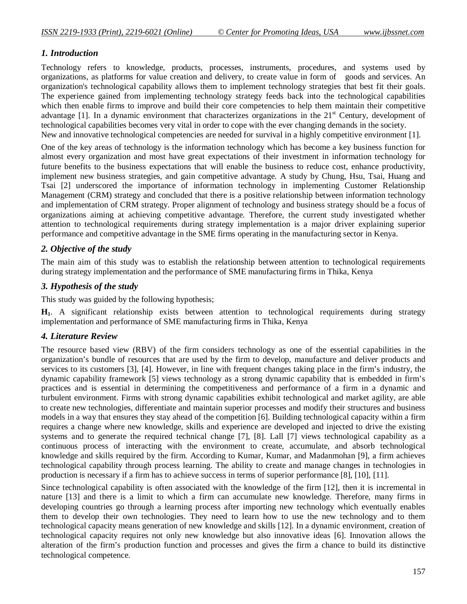# *1. Introduction*

Technology refers to knowledge, products, processes, instruments, procedures, and systems used by organizations, as platforms for value creation and delivery, to create value in form of goods and services. An organization's technological capability allows them to implement technology strategies that best fit their goals. The experience gained from implementing technology strategy feeds back into the technological capabilities which then enable firms to improve and build their core competencies to help them maintain their competitive advantage [1]. In a dynamic environment that characterizes organizations in the 21<sup>st</sup> Century, development of technological capabilities becomes very vital in order to cope with the ever changing demands in the society. New and innovative technological competencies are needed for survival in a highly competitive environment [1].

One of the key areas of technology is the information technology which has become a key business function for almost every organization and most have great expectations of their investment in information technology for future benefits to the business expectations that will enable the business to reduce cost, enhance productivity, implement new business strategies, and gain competitive advantage. A study by Chung, Hsu, Tsai, Huang and Tsai [2] underscored the importance of information technology in implementing Customer Relationship Management (CRM) strategy and concluded that there is a positive relationship between information technology and implementation of CRM strategy. Proper alignment of technology and business strategy should be a focus of organizations aiming at achieving competitive advantage. Therefore, the current study investigated whether attention to technological requirements during strategy implementation is a major driver explaining superior performance and competitive advantage in the SME firms operating in the manufacturing sector in Kenya.

# *2. Objective of the study*

The main aim of this study was to establish the relationship between attention to technological requirements during strategy implementation and the performance of SME manufacturing firms in Thika, Kenya

# *3. Hypothesis of the study*

This study was guided by the following hypothesis;

**H1**. A significant relationship exists between attention to technological requirements during strategy implementation and performance of SME manufacturing firms in Thika, Kenya

# *4. Literature Review*

The resource based view (RBV) of the firm considers technology as one of the essential capabilities in the organization's bundle of resources that are used by the firm to develop, manufacture and deliver products and services to its customers [3], [4]. However, in line with frequent changes taking place in the firm's industry, the dynamic capability framework [5] views technology as a strong dynamic capability that is embedded in firm's practices and is essential in determining the competitiveness and performance of a firm in a dynamic and turbulent environment. Firms with strong dynamic capabilities exhibit technological and market agility, are able to create new technologies, differentiate and maintain superior processes and modify their structures and business models in a way that ensures they stay ahead of the competition [6]. Building technological capacity within a firm requires a change where new knowledge, skills and experience are developed and injected to drive the existing systems and to generate the required technical change [7], [8]. Lall [7] views technological capability as a continuous process of interacting with the environment to create, accumulate, and absorb technological knowledge and skills required by the firm. According to Kumar, Kumar, and Madanmohan [9], a firm achieves technological capability through process learning. The ability to create and manage changes in technologies in production is necessary if a firm has to achieve success in terms of superior performance [8], [10], [11].

Since technological capability is often associated with the knowledge of the firm [12], then it is incremental in nature [13] and there is a limit to which a firm can accumulate new knowledge. Therefore, many firms in developing countries go through a learning process after importing new technology which eventually enables them to develop their own technologies. They need to learn how to use the new technology and to them technological capacity means generation of new knowledge and skills [12]. In a dynamic environment, creation of technological capacity requires not only new knowledge but also innovative ideas [6]. Innovation allows the alteration of the firm's production function and processes and gives the firm a chance to build its distinctive technological competence.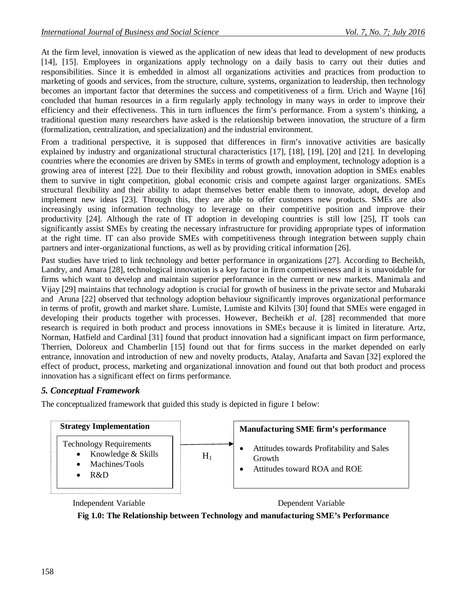At the firm level, innovation is viewed as the application of new ideas that lead to development of new products [14], [15]. Employees in organizations apply technology on a daily basis to carry out their duties and responsibilities. Since it is embedded in almost all organizations activities and practices from production to marketing of goods and services, from the structure, culture, systems, organization to leadership, then technology becomes an important factor that determines the success and competitiveness of a firm. Urich and Wayne [16] concluded that human resources in a firm regularly apply technology in many ways in order to improve their efficiency and their effectiveness. This in turn influences the firm's performance. From a system's thinking, a traditional question many researchers have asked is the relationship between innovation, the structure of a firm (formalization, centralization, and specialization) and the industrial environment.

From a traditional perspective, it is supposed that differences in firm's innovative activities are basically explained by industry and organizational structural characteristics [17], [18], [19], [20] and [21]. In developing countries where the economies are driven by SMEs in terms of growth and employment, technology adoption is a growing area of interest [22]. Due to their flexibility and robust growth, innovation adoption in SMEs enables them to survive in tight competition, global economic crisis and compete against larger organizations. SMEs structural flexibility and their ability to adapt themselves better enable them to innovate, adopt, develop and implement new ideas [23]. Through this, they are able to offer customers new products. SMEs are also increasingly using information technology to leverage on their competitive position and improve their productivity [24]. Although the rate of IT adoption in developing countries is still low [25], IT tools can significantly assist SMEs by creating the necessary infrastructure for providing appropriate types of information at the right time. IT can also provide SMEs with competitiveness through integration between supply chain partners and inter-organizational functions, as well as by providing critical information [26].

Past studies have tried to link technology and better performance in organizations [27]. According to Becheikh, Landry, and Amara [28], technological innovation is a key factor in firm competitiveness and it is unavoidable for firms which want to develop and maintain superior performance in the current or new markets. Manimala and Vijay [29] maintains that technology adoption is crucial for growth of business in the private sector and Mubaraki and Aruna [22] observed that technology adoption behaviour significantly improves organizational performance in terms of profit, growth and market share. Lumiste, Lumiste and Kilvits [30] found that SMEs were engaged in developing their products together with processes. However, Becheikh *et al*. [28] recommended that more research is required in both product and process innovations in SMEs because it is limited in literature. Artz, Norman, Hatfield and Cardinal [31] found that product innovation had a significant impact on firm performance, Therrien, Doloreux and Chamberlin [15] found out that for firms success in the market depended on early entrance, innovation and introduction of new and novelty products, Atalay, Anafarta and Savan [32] explored the effect of product, process, marketing and organizational innovation and found out that both product and process innovation has a significant effect on firms performance.

# *5. Conceptual Framework*

The conceptualized framework that guided this study is depicted in figure 1 below:



Independent Variable Dependent Variable

**Fig 1.0: The Relationship between Technology and manufacturing SME's Performance**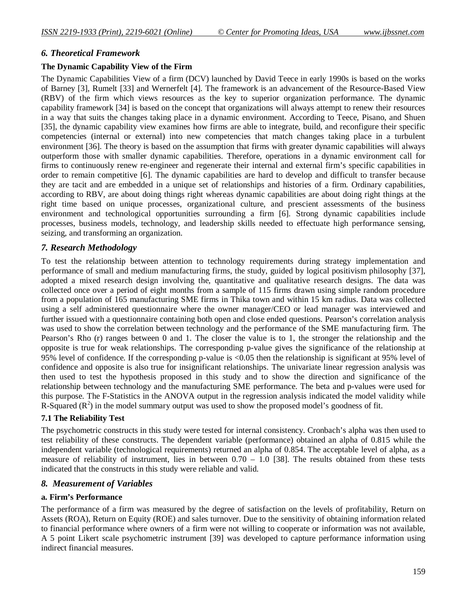# *6. Theoretical Framework*

# **The Dynamic Capability View of the Firm**

The Dynamic Capabilities View of a firm (DCV) launched by David Teece in early 1990s is based on the works of Barney [3], Rumelt [33] and Wernerfelt [4]. The framework is an advancement of the Resource-Based View (RBV) of the firm which views resources as the key to superior organization performance. The dynamic capability framework [34] is based on the concept that organizations will always attempt to renew their resources in a way that suits the changes taking place in a dynamic environment. According to Teece, Pisano, and Shuen [35], the dynamic capability view examines how firms are able to integrate, build, and reconfigure their specific competencies (internal or external) into new competencies that match changes taking place in a turbulent environment [36]. The theory is based on the assumption that firms with greater dynamic capabilities will always outperform those with smaller dynamic capabilities. Therefore, operations in a dynamic environment call for firms to continuously renew re-engineer and regenerate their internal and external firm's specific capabilities in order to remain competitive [6]. The dynamic capabilities are hard to develop and difficult to transfer because they are tacit and are embedded in a unique set of relationships and histories of a firm. Ordinary capabilities, according to RBV, are about doing things right whereas dynamic capabilities are about doing right things at the right time based on unique processes, organizational culture, and prescient assessments of the business environment and technological opportunities surrounding a firm [6]. Strong dynamic capabilities include processes, business models, technology, and leadership skills needed to effectuate high performance sensing, seizing, and transforming an organization.

# *7. Research Methodology*

To test the relationship between attention to technology requirements during strategy implementation and performance of small and medium manufacturing firms, the study, guided by logical positivism philosophy [37], adopted a mixed research design involving the, quantitative and qualitative research designs. The data was collected once over a period of eight months from a sample of 115 firms drawn using simple random procedure from a population of 165 manufacturing SME firms in Thika town and within 15 km radius. Data was collected using a self administered questionnaire where the owner manager/CEO or lead manager was interviewed and further issued with a questionnaire containing both open and close ended questions. Pearson's correlation analysis was used to show the correlation between technology and the performance of the SME manufacturing firm. The Pearson's Rho (r) ranges between 0 and 1. The closer the value is to 1, the stronger the relationship and the opposite is true for weak relationships. The corresponding p-value gives the significance of the relationship at 95% level of confidence. If the corresponding p-value is <0.05 then the relationship is significant at 95% level of confidence and opposite is also true for insignificant relationships. The univariate linear regression analysis was then used to test the hypothesis proposed in this study and to show the direction and significance of the relationship between technology and the manufacturing SME performance. The beta and p-values were used for this purpose. The F-Statistics in the ANOVA output in the regression analysis indicated the model validity while R-Squared  $(R^2)$  in the model summary output was used to show the proposed model's goodness of fit.

# **7.1 The Reliability Test**

The psychometric constructs in this study were tested for internal consistency. Cronbach's alpha was then used to test reliability of these constructs. The dependent variable (performance) obtained an alpha of 0.815 while the independent variable (technological requirements) returned an alpha of 0.854. The acceptable level of alpha, as a measure of reliability of instrument, lies in between 0.70 – 1.0 [38]. The results obtained from these tests indicated that the constructs in this study were reliable and valid.

# *8. Measurement of Variables*

# **a. Firm's Performance**

The performance of a firm was measured by the degree of satisfaction on the levels of profitability, Return on Assets (ROA), Return on Equity (ROE) and sales turnover. Due to the sensitivity of obtaining information related to financial performance where owners of a firm were not willing to cooperate or information was not available, A 5 point Likert scale psychometric instrument [39] was developed to capture performance information using indirect financial measures.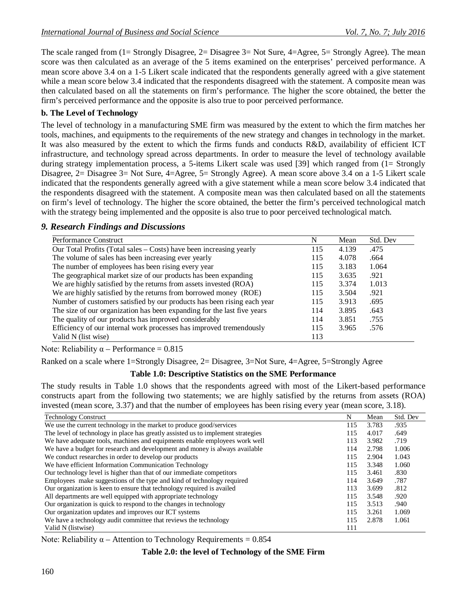The scale ranged from (1= Strongly Disagree, 2= Disagree 3= Not Sure, 4=Agree, 5= Strongly Agree). The mean score was then calculated as an average of the 5 items examined on the enterprises' perceived performance. A mean score above 3.4 on a 1-5 Likert scale indicated that the respondents generally agreed with a give statement while a mean score below 3.4 indicated that the respondents disagreed with the statement. A composite mean was then calculated based on all the statements on firm's performance. The higher the score obtained, the better the firm's perceived performance and the opposite is also true to poor perceived performance.

# **b. The Level of Technology**

The level of technology in a manufacturing SME firm was measured by the extent to which the firm matches her tools, machines, and equipments to the requirements of the new strategy and changes in technology in the market. It was also measured by the extent to which the firms funds and conducts R&D, availability of efficient ICT infrastructure, and technology spread across departments. In order to measure the level of technology available during strategy implementation process, a 5-items Likert scale was used [39] which ranged from (1= Strongly Disagree, 2= Disagree 3= Not Sure, 4=Agree, 5= Strongly Agree). A mean score above 3.4 on a 1-5 Likert scale indicated that the respondents generally agreed with a give statement while a mean score below 3.4 indicated that the respondents disagreed with the statement. A composite mean was then calculated based on all the statements on firm's level of technology. The higher the score obtained, the better the firm's perceived technological match with the strategy being implemented and the opposite is also true to poor perceived technological match.

# *9. Research Findings and Discussions*

| Performance Construct                                                   | N   | Mean  | Std. Dev |
|-------------------------------------------------------------------------|-----|-------|----------|
| Our Total Profits (Total sales – Costs) have been increasing yearly     | 115 | 4.139 | .475     |
| The volume of sales has been increasing ever yearly                     | 115 | 4.078 | .664     |
| The number of employees has been rising every year                      | 115 | 3.183 | 1.064    |
| The geographical market size of our products has been expanding         | 115 | 3.635 | .921     |
| We are highly satisfied by the returns from assets invested (ROA)       | 115 | 3.374 | 1.013    |
| We are highly satisfied by the returns from borrowed money (ROE)        | 115 | 3.504 | .921     |
| Number of customers satisfied by our products has been rising each year | 115 | 3.913 | .695     |
| The size of our organization has been expanding for the last five years | 114 | 3.895 | .643     |
| The quality of our products has improved considerably                   | 114 | 3.851 | .755     |
| Efficiency of our internal work processes has improved tremendously     | 115 | 3.965 | .576     |
| Valid N (list wise)                                                     | 113 |       |          |

Note: Reliability  $\alpha$  – Performance = 0.815

Ranked on a scale where 1=Strongly Disagree, 2= Disagree, 3=Not Sure, 4=Agree, 5=Strongly Agree

# **Table 1.0: Descriptive Statistics on the SME Performance**

The study results in Table 1.0 shows that the respondents agreed with most of the Likert-based performance constructs apart from the following two statements; we are highly satisfied by the returns from assets (ROA) invested (mean score, 3.37) and that the number of employees has been rising every year (mean score, 3.18).

| <b>Technology Construct</b>                                                      | N   | Mean  | Std. Dev |
|----------------------------------------------------------------------------------|-----|-------|----------|
| We use the current technology in the market to produce good/services             | 115 | 3.783 | .935     |
| The level of technology in place has greatly assisted us to implement strategies | 115 | 4.017 | .649     |
| We have adequate tools, machines and equipments enable employees work well       | 113 | 3.982 | .719     |
| We have a budget for research and development and money is always available      | 114 | 2.798 | 1.006    |
| We conduct researches in order to develop our products                           | 115 | 2.904 | 1.043    |
| We have efficient Information Communication Technology                           | 115 | 3.348 | 1.060    |
| Our technology level is higher than that of our immediate competitors            | 115 | 3.461 | .830     |
| Employees make suggestions of the type and kind of technology required           | 114 | 3.649 | .787     |
| Our organization is keen to ensure that technology required is availed           | 113 | 3.699 | .812     |
| All departments are well equipped with appropriate technology                    | 115 | 3.548 | .920     |
| Our organization is quick to respond to the changes in technology                | 115 | 3.513 | .940     |
| Our organization updates and improves our ICT systems                            | 115 | 3.261 | 1.069    |
| We have a technology audit committee that reviews the technology                 |     | 2.878 | 1.061    |
| Valid N (listwise)                                                               | 111 |       |          |

Note: Reliability  $\alpha$  – Attention to Technology Requirements = 0.854

|  |  | Table 2.0: the level of Technology of the SME Firm |  |  |
|--|--|----------------------------------------------------|--|--|
|--|--|----------------------------------------------------|--|--|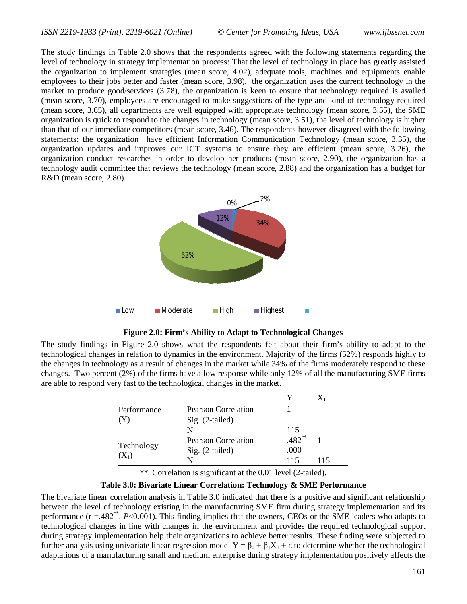The study findings in Table 2.0 shows that the respondents agreed with the following statements regarding the level of technology in strategy implementation process: That the level of technology in place has greatly assisted the organization to implement strategies (mean score, 4.02), adequate tools, machines and equipments enable employees to their jobs better and faster (mean score, 3.98), the organization uses the current technology in the market to produce good/services (3.78), the organization is keen to ensure that technology required is availed (mean score, 3.70), employees are encouraged to make suggestions of the type and kind of technology required (mean score, 3.65), all departments are well equipped with appropriate technology (mean score, 3.55), the SME organization is quick to respond to the changes in technology (mean score, 3.51), the level of technology is higher than that of our immediate competitors (mean score, 3.46). The respondents however disagreed with the following statements: the organization have efficient Information Communication Technology (mean score, 3.35), the organization updates and improves our ICT systems to ensure they are efficient (mean score, 3.26), the organization conduct researches in order to develop her products (mean score, 2.90), the organization has a technology audit committee that reviews the technology (mean score, 2.88) and the organization has a budget for R&D (mean score, 2.80).



**Figure 2.0: Firm's Ability to Adapt to Technological Changes**

The study findings in Figure 2.0 shows what the respondents felt about their firm's ability to adapt to the technological changes in relation to dynamics in the environment. Majority of the firms (52%) responds highly to the changes in technology as a result of changes in the market while 34% of the firms moderately respond to these changes. Two percent (2%) of the firms have a low response while only 12% of all the manufacturing SME firms are able to respond very fast to the technological changes in the market.

| Performance           | <b>Pearson Correlation</b> |          |     |
|-----------------------|----------------------------|----------|-----|
| Y)                    | Sig. (2-tailed)            |          |     |
|                       | N                          | 115      |     |
| Technology<br>$(X_1)$ | <b>Pearson Correlation</b> | $.482**$ |     |
|                       | Sig. (2-tailed)            | .000     |     |
|                       | N                          | 115      | 115 |

\*\*. Correlation is significant at the 0.01 level (2-tailed).

**Table 3.0: Bivariate Linear Correlation: Technology & SME Performance**

The bivariate linear correlation analysis in Table 3.0 indicated that there is a positive and significant relationship between the level of technology existing in the manufacturing SME firm during strategy implementation and its performance (r = .482<sup>\*\*</sup>, *P*<0.001). This finding implies that the owners, CEOs or the SME leaders who adapts to technological changes in line with changes in the environment and provides the required technological support during strategy implementation help their organizations to achieve better results. These finding were subjected to further analysis using univariate linear regression model  $Y = \beta_0 + \beta_1 X_1 + \epsilon$  to determine whether the technological adaptations of a manufacturing small and medium enterprise during strategy implementation positively affects the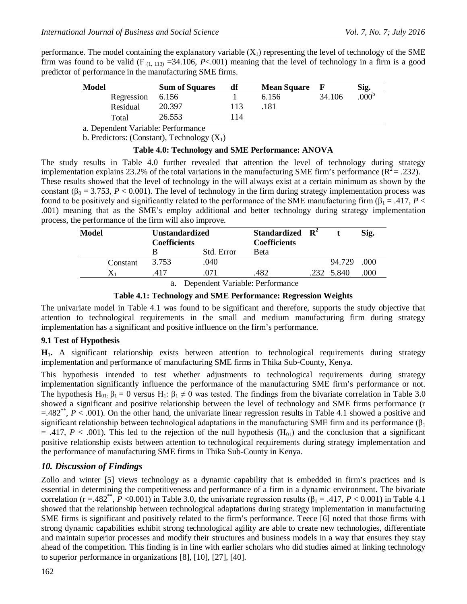performance. The model containing the explanatory variable  $(X<sub>1</sub>)$  representing the level of technology of the SME firm was found to be valid (F<sub>(1, 113)</sub> = 34.106, *P*<.001) meaning that the level of technology in a firm is a good predictor of performance in the manufacturing SME firms.

| <b>Model</b> |            | <b>Sum of Squares</b> | df | <b>Mean Square</b> |        | Sig.              |
|--------------|------------|-----------------------|----|--------------------|--------|-------------------|
|              | Regression | 6.156                 |    | 6.156              | 34.106 | .000 <sup>b</sup> |
|              | Residual   | 20.397                |    | .181               |        |                   |
|              | Total      | 26.553                | 14 |                    |        |                   |

a. Dependent Variable: Performance

b. Predictors: (Constant), Technology  $(X_1)$ 

#### **Table 4.0: Technology and SME Performance: ANOVA**

The study results in Table 4.0 further revealed that attention the level of technology during strategy implementation explains 23.2% of the total variations in the manufacturing SME firm's performance ( $\overline{R}^2$  = .232). These results showed that the level of technology in the will always exist at a certain minimum as shown by the constant ( $\beta_0 = 3.753$ ,  $P < 0.001$ ). The level of technology in the firm during strategy implementation process was found to be positively and significantly related to the performance of the SME manufacturing firm ( $\beta_1 = .417, P <$ .001) meaning that as the SME's employ additional and better technology during strategy implementation process, the performance of the firm will also improve.

| Model    | <b>Unstandardized</b><br><b>Coefficients</b> |            | Standardized $\mathbb{R}^2$<br><b>Coefficients</b> |            | Sig. |
|----------|----------------------------------------------|------------|----------------------------------------------------|------------|------|
|          |                                              | Std. Error | <b>B</b> eta                                       |            |      |
| Constant | 3.753                                        | .040       |                                                    | 94.729     | .000 |
|          | .417                                         | 071        | .482                                               | .232 5.840 | .000 |

a. Dependent Variable: Performance

#### **Table 4.1: Technology and SME Performance: Regression Weights**

The univariate model in Table 4.1 was found to be significant and therefore, supports the study objective that attention to technological requirements in the small and medium manufacturing firm during strategy implementation has a significant and positive influence on the firm's performance.

#### **9.1 Test of Hypothesis**

**H1.** A significant relationship exists between attention to technological requirements during strategy implementation and performance of manufacturing SME firms in Thika Sub-County, Kenya.

This hypothesis intended to test whether adjustments to technological requirements during strategy implementation significantly influence the performance of the manufacturing SME firm's performance or not. The hypothesis H<sub>01:</sub>  $\beta_1 = 0$  versus H<sub>1</sub>:  $\beta_1 \neq 0$  was tested. The findings from the bivariate correlation in Table 3.0 showed a significant and positive relationship between the level of technology and SME firms performance (r  $=$ .482<sup>\*\*</sup>,  $P < .001$ ). On the other hand, the univariate linear regression results in Table 4.1 showed a positive and significant relationship between technological adaptations in the manufacturing SME firm and its performance  $(\beta_1)$  $=$  .417, *P* < .001). This led to the rejection of the null hypothesis (H<sub>01</sub>) and the conclusion that a significant positive relationship exists between attention to technological requirements during strategy implementation and the performance of manufacturing SME firms in Thika Sub-County in Kenya.

# *10. Discussion of Findings*

Zollo and winter [5] views technology as a dynamic capability that is embedded in firm's practices and is essential in determining the competitiveness and performance of a firm in a dynamic environment. The bivariate correlation (r = .482<sup>\*\*</sup>, *P* < 0.001) in Table 3.0, the univariate regression results ( $\beta_1$  = .417, *P* < 0.001) in Table 4.1 showed that the relationship between technological adaptations during strategy implementation in manufacturing SME firms is significant and positively related to the firm's performance. Teece [6] noted that those firms with strong dynamic capabilities exhibit strong technological agility are able to create new technologies, differentiate and maintain superior processes and modify their structures and business models in a way that ensures they stay ahead of the competition. This finding is in line with earlier scholars who did studies aimed at linking technology to superior performance in organizations [8], [10], [27], [40].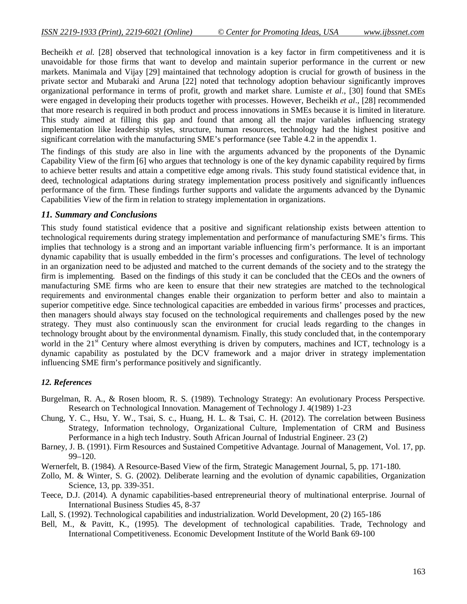Becheikh *et al.* [28] observed that technological innovation is a key factor in firm competitiveness and it is unavoidable for those firms that want to develop and maintain superior performance in the current or new markets. Manimala and Vijay [29] maintained that technology adoption is crucial for growth of business in the private sector and Mubaraki and Aruna [22] noted that technology adoption behaviour significantly improves organizational performance in terms of profit, growth and market share. Lumiste *et al*., [30] found that SMEs were engaged in developing their products together with processes. However, Becheikh *et al*., [28] recommended that more research is required in both product and process innovations in SMEs because it is limited in literature. This study aimed at filling this gap and found that among all the major variables influencing strategy implementation like leadership styles, structure, human resources, technology had the highest positive and significant correlation with the manufacturing SME's performance (see Table 4.2 in the appendix 1.

The findings of this study are also in line with the arguments advanced by the proponents of the Dynamic Capability View of the firm [6] who argues that technology is one of the key dynamic capability required by firms to achieve better results and attain a competitive edge among rivals. This study found statistical evidence that, in deed, technological adaptations during strategy implementation process positively and significantly influences performance of the firm. These findings further supports and validate the arguments advanced by the Dynamic Capabilities View of the firm in relation to strategy implementation in organizations.

#### *11. Summary and Conclusions*

This study found statistical evidence that a positive and significant relationship exists between attention to technological requirements during strategy implementation and performance of manufacturing SME's firms. This implies that technology is a strong and an important variable influencing firm's performance. It is an important dynamic capability that is usually embedded in the firm's processes and configurations. The level of technology in an organization need to be adjusted and matched to the current demands of the society and to the strategy the firm is implementing. Based on the findings of this study it can be concluded that the CEOs and the owners of manufacturing SME firms who are keen to ensure that their new strategies are matched to the technological requirements and environmental changes enable their organization to perform better and also to maintain a superior competitive edge. Since technological capacities are embedded in various firms' processes and practices, then managers should always stay focused on the technological requirements and challenges posed by the new strategy. They must also continuously scan the environment for crucial leads regarding to the changes in technology brought about by the environmental dynamism. Finally, this study concluded that, in the contemporary world in the 21<sup>st</sup> Century where almost everything is driven by computers, machines and ICT, technology is a dynamic capability as postulated by the DCV framework and a major driver in strategy implementation influencing SME firm's performance positively and significantly.

#### *12. References*

- Burgelman, R. A., & Rosen bloom, R. S. (1989). Technology Strategy: An evolutionary Process Perspective. Research on Technological Innovation. Management of Technology J. 4(1989) 1-23
- Chung, Y. C., Hsu, Y. W., Tsai, S. c., Huang, H. L. & Tsai, C. H. (2012). The correlation between Business Strategy, Information technology, Organizational Culture, Implementation of CRM and Business Performance in a high tech Industry. South African Journal of Industrial Engineer. 23 (2)
- Barney, J. B. (1991). Firm Resources and Sustained Competitive Advantage. Journal of Management, Vol. 17, pp. 99–120.
- Wernerfelt, B. (1984). A Resource-Based View of the firm, Strategic Management Journal, 5, pp. 171-180.
- Zollo, M. & Winter, S. G. (2002). Deliberate learning and the evolution of dynamic capabilities, Organization Science, 13, pp. 339-351.
- Teece, D.J. (2014). A dynamic capabilities-based entrepreneurial theory of multinational enterprise. Journal of International Business Studies 45, 8-37
- Lall, S. (1992). Technological capabilities and industrialization. World Development, 20 (2) 165-186
- Bell, M., & Pavitt, K., (1995). The development of technological capabilities. Trade, Technology and International Competitiveness. Economic Development Institute of the World Bank 69-100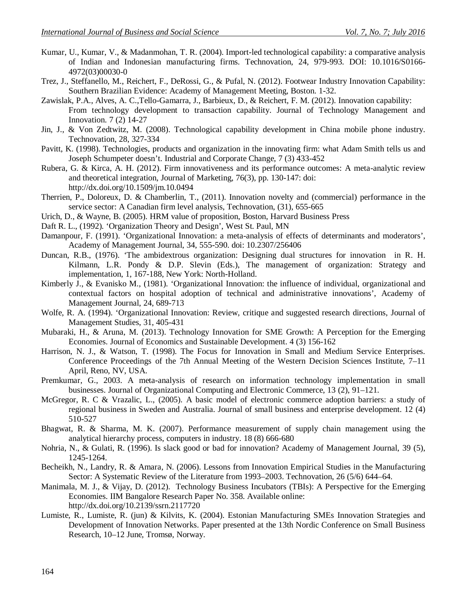- Kumar, U., Kumar, V., & Madanmohan, T. R. (2004). Import-led technological capability: a comparative analysis of Indian and Indonesian manufacturing firms. Technovation, 24, 979-993. DOI: 10.1016/S0166- 4972(03)00030-0
- Trez, J., Steffanello, M., Reichert, F., DeRossi, G., & Pufal, N. (2012). Footwear Industry Innovation Capability: Southern Brazilian Evidence: Academy of Management Meeting, Boston. 1-32.
- Zawislak, P.A., Alves, A. C.,Tello-Gamarra, J., Barbieux, D., & Reichert, F. M. (2012). Innovation capability: From technology development to transaction capability. Journal of Technology Management and Innovation. 7 (2) 14-27
- Jin, J., & Von Zedtwitz, M. (2008). Technological capability development in China mobile phone industry. Technovation, 28, 327-334
- Pavitt, K. (1998). Technologies, products and organization in the innovating firm: what Adam Smith tells us and Joseph Schumpeter doesn't. Industrial and Corporate Change, 7 (3) 433-452
- Rubera, G. & Kirca, A. H. (2012). Firm innovativeness and its performance outcomes: A meta-analytic review and theoretical integration, Journal of Marketing, 76(3), pp. 130-147: doi: http://dx.doi.org/10.1509/jm.10.0494
- Therrien, P., Doloreux, D. & Chamberlin, T., (2011). Innovation novelty and (commercial) performance in the service sector: A Canadian firm level analysis, Technovation, (31), 655-665
- Urich, D., & Wayne, B. (2005). HRM value of proposition, Boston, Harvard Business Press
- Daft R. L., (1992). 'Organization Theory and Design', West St. Paul, MN
- Damanpour, F. (1991). 'Organizational Innovation: a meta-analysis of effects of determinants and moderators', Academy of Management Journal, 34, 555-590. doi: 10.2307/256406
- Duncan, R.B., (1976). 'The ambidextrous organization: Designing dual structures for innovation in R. H. Kilmann, L.R. Pondy & D.P. Slevin (Eds.), The management of organization: Strategy and implementation, 1, 167-188, New York: North-Holland.
- Kimberly J., & Evanisko M., (1981). 'Organizational Innovation: the influence of individual, organizational and contextual factors on hospital adoption of technical and administrative innovations', Academy of Management Journal, 24, 689-713
- Wolfe, R. A. (1994). 'Organizational Innovation: Review, critique and suggested research directions, Journal of Management Studies, 31, 405-431
- Mubaraki, H., & Aruna, M. (2013). Technology Innovation for SME Growth: A Perception for the Emerging Economies. Journal of Economics and Sustainable Development. 4 (3) 156-162
- Harrison, N. J., & Watson, T. (1998). The Focus for Innovation in Small and Medium Service Enterprises. Conference Proceedings of the 7th Annual Meeting of the Western Decision Sciences Institute, 7–11 April, Reno, NV, USA.
- Premkumar, G., 2003. A meta-analysis of research on information technology implementation in small businesses. Journal of Organizational Computing and Electronic Commerce, 13 (2), 91–121.
- McGregor, R. C & Vrazalic, L., (2005). A basic model of electronic commerce adoption barriers: a study of regional business in Sweden and Australia. Journal of small business and enterprise development. 12 (4) 510-527
- Bhagwat, R. & Sharma, M. K. (2007). Performance measurement of supply chain management using the analytical hierarchy process, computers in industry. 18 (8) 666-680
- Nohria, N., & Gulati, R. (1996). Is slack good or bad for innovation? Academy of Management Journal, 39 (5), 1245-1264.
- Becheikh, N., Landry, R. & Amara, N. (2006). Lessons from Innovation Empirical Studies in the Manufacturing Sector: A Systematic Review of the Literature from 1993–2003. Technovation, 26 (5/6) 644–64.
- Manimala, M. J., & Vijay, D. (2012). Technology Business Incubators (TBIs): A Perspective for the Emerging Economies. IIM Bangalore Research Paper No. 358. Available online: http://dx.doi.org/10.2139/ssrn.2117720
- Lumiste, R., Lumiste, R. (jun) & Kilvits, K. (2004). Estonian Manufacturing SMEs Innovation Strategies and Development of Innovation Networks. Paper presented at the 13th Nordic Conference on Small Business Research, 10–12 June, Tromsø, Norway.